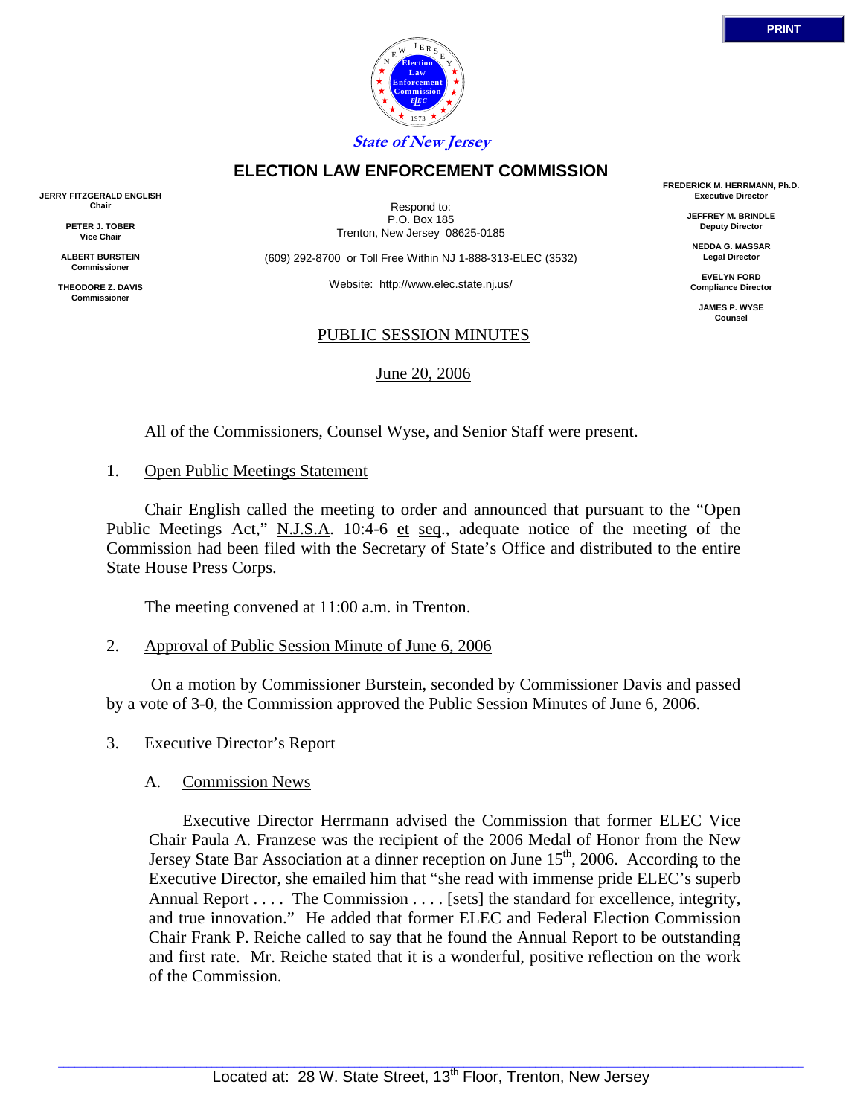



**State of New Jersey**

# **ELECTION LAW ENFORCEMENT COMMISSION**

**JERRY FITZGERALD ENGLISH Chair**

> **PETER J. TOBER Vice Chair**

**ALBERT BURSTEIN Commissioner** 

**THEODORE Z. DAVIS Commissione** 

Respond to: P.O. Box 185 Trenton, New Jersey 08625-0185

(609) 292-8700 or Toll Free Within NJ 1-888-313-ELEC (3532)

Website: http://www.elec.state.nj.us/

### PUBLIC SESSION MINUTES

June 20, 2006

**FREDERICK M. HERRMANN, Ph.D. Executive Director**

> **JEFFREY M. BRINDLE Deputy Director**

**NEDDA G. MASSAR Legal Director**

**EVELYN FORD Compliance Director**

**JAMES P. WYSE Counsel**

All of the Commissioners, Counsel Wyse, and Senior Staff were present.

### 1. Open Public Meetings Statement

 Chair English called the meeting to order and announced that pursuant to the "Open Public Meetings Act," N.J.S.A. 10:4-6 et seq., adequate notice of the meeting of the Commission had been filed with the Secretary of State's Office and distributed to the entire State House Press Corps.

The meeting convened at 11:00 a.m. in Trenton.

2. Approval of Public Session Minute of June 6, 2006

 On a motion by Commissioner Burstein, seconded by Commissioner Davis and passed by a vote of 3-0, the Commission approved the Public Session Minutes of June 6, 2006.

3. Executive Director's Report

## A. Commission News

 Executive Director Herrmann advised the Commission that former ELEC Vice Chair Paula A. Franzese was the recipient of the 2006 Medal of Honor from the New Jersey State Bar Association at a dinner reception on June 15<sup>th</sup>, 2006. According to the Executive Director, she emailed him that "she read with immense pride ELEC's superb Annual Report . . . . The Commission . . . . [sets] the standard for excellence, integrity, and true innovation." He added that former ELEC and Federal Election Commission Chair Frank P. Reiche called to say that he found the Annual Report to be outstanding and first rate. Mr. Reiche stated that it is a wonderful, positive reflection on the work of the Commission.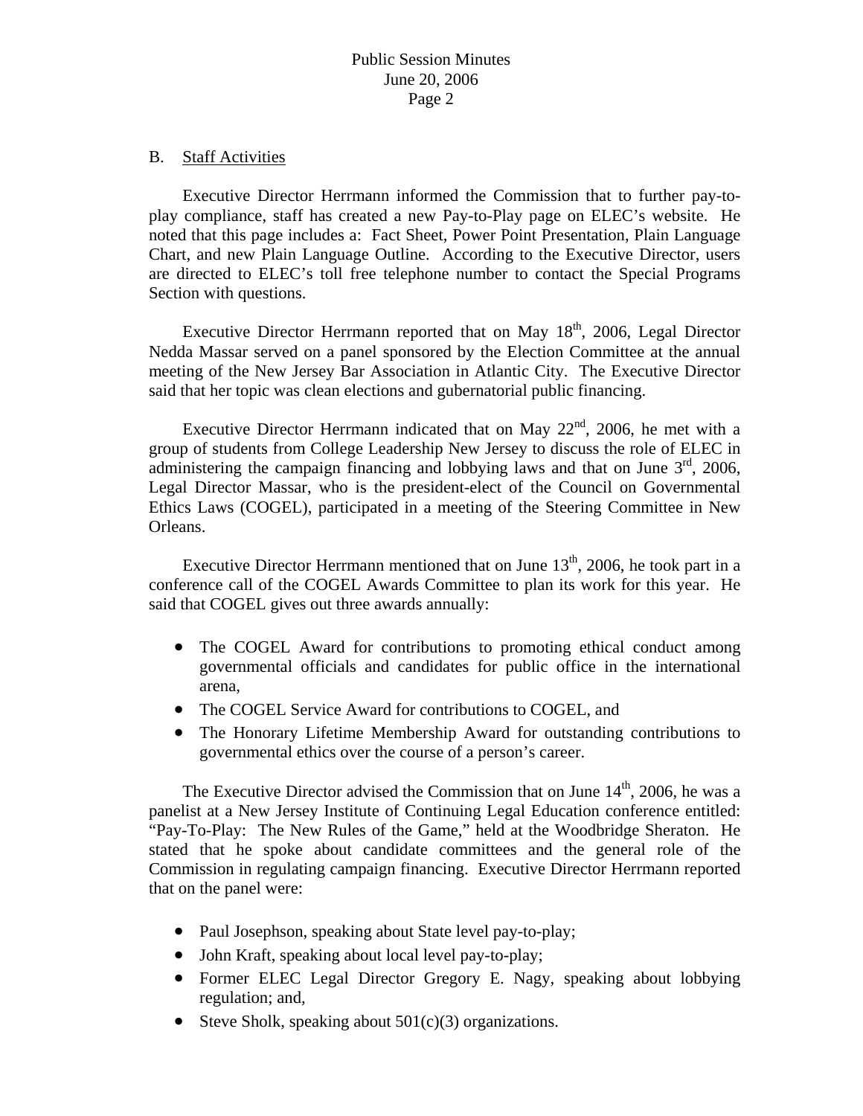#### B. Staff Activities

 Executive Director Herrmann informed the Commission that to further pay-toplay compliance, staff has created a new Pay-to-Play page on ELEC's website. He noted that this page includes a: Fact Sheet, Power Point Presentation, Plain Language Chart, and new Plain Language Outline. According to the Executive Director, users are directed to ELEC's toll free telephone number to contact the Special Programs Section with questions.

Executive Director Herrmann reported that on May  $18<sup>th</sup>$ , 2006, Legal Director Nedda Massar served on a panel sponsored by the Election Committee at the annual meeting of the New Jersey Bar Association in Atlantic City. The Executive Director said that her topic was clean elections and gubernatorial public financing.

Executive Director Herrmann indicated that on May  $22<sup>nd</sup>$ , 2006, he met with a group of students from College Leadership New Jersey to discuss the role of ELEC in administering the campaign financing and lobbying laws and that on June  $3<sup>rd</sup>$ , 2006, Legal Director Massar, who is the president-elect of the Council on Governmental Ethics Laws (COGEL), participated in a meeting of the Steering Committee in New Orleans.

Executive Director Herrmann mentioned that on June  $13<sup>th</sup>$ , 2006, he took part in a conference call of the COGEL Awards Committee to plan its work for this year. He said that COGEL gives out three awards annually:

- The COGEL Award for contributions to promoting ethical conduct among governmental officials and candidates for public office in the international arena,
- The COGEL Service Award for contributions to COGEL, and
- The Honorary Lifetime Membership Award for outstanding contributions to governmental ethics over the course of a person's career.

The Executive Director advised the Commission that on June  $14<sup>th</sup>$ , 2006, he was a panelist at a New Jersey Institute of Continuing Legal Education conference entitled: "Pay-To-Play: The New Rules of the Game," held at the Woodbridge Sheraton. He stated that he spoke about candidate committees and the general role of the Commission in regulating campaign financing. Executive Director Herrmann reported that on the panel were:

- Paul Josephson, speaking about State level pay-to-play;
- John Kraft, speaking about local level pay-to-play;
- Former ELEC Legal Director Gregory E. Nagy, speaking about lobbying regulation; and,
- Steve Sholk, speaking about  $501(c)(3)$  organizations.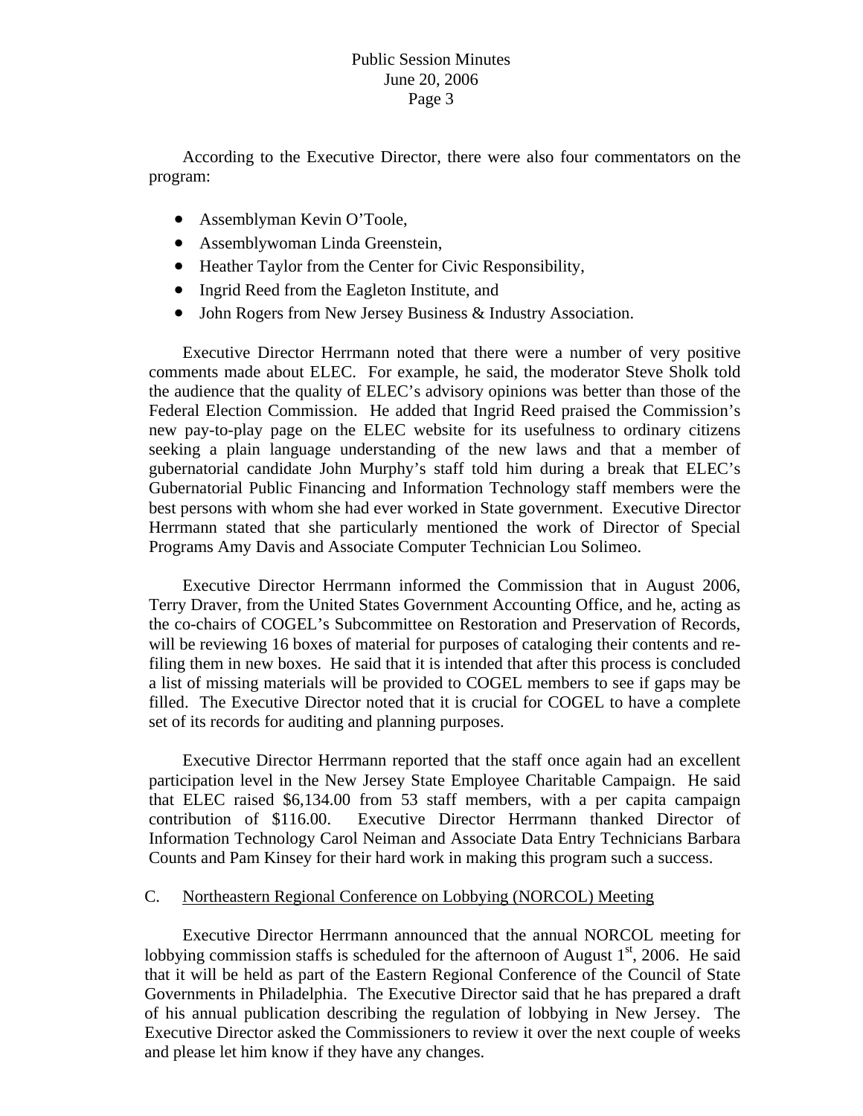According to the Executive Director, there were also four commentators on the program:

- Assemblyman Kevin O'Toole,
- Assemblywoman Linda Greenstein,
- Heather Taylor from the Center for Civic Responsibility,
- Ingrid Reed from the Eagleton Institute, and
- John Rogers from New Jersey Business & Industry Association.

 Executive Director Herrmann noted that there were a number of very positive comments made about ELEC. For example, he said, the moderator Steve Sholk told the audience that the quality of ELEC's advisory opinions was better than those of the Federal Election Commission. He added that Ingrid Reed praised the Commission's new pay-to-play page on the ELEC website for its usefulness to ordinary citizens seeking a plain language understanding of the new laws and that a member of gubernatorial candidate John Murphy's staff told him during a break that ELEC's Gubernatorial Public Financing and Information Technology staff members were the best persons with whom she had ever worked in State government. Executive Director Herrmann stated that she particularly mentioned the work of Director of Special Programs Amy Davis and Associate Computer Technician Lou Solimeo.

 Executive Director Herrmann informed the Commission that in August 2006, Terry Draver, from the United States Government Accounting Office, and he, acting as the co-chairs of COGEL's Subcommittee on Restoration and Preservation of Records, will be reviewing 16 boxes of material for purposes of cataloging their contents and refiling them in new boxes. He said that it is intended that after this process is concluded a list of missing materials will be provided to COGEL members to see if gaps may be filled. The Executive Director noted that it is crucial for COGEL to have a complete set of its records for auditing and planning purposes.

 Executive Director Herrmann reported that the staff once again had an excellent participation level in the New Jersey State Employee Charitable Campaign. He said that ELEC raised \$6,134.00 from 53 staff members, with a per capita campaign contribution of \$116.00. Executive Director Herrmann thanked Director of Information Technology Carol Neiman and Associate Data Entry Technicians Barbara Counts and Pam Kinsey for their hard work in making this program such a success.

## C. Northeastern Regional Conference on Lobbying (NORCOL) Meeting

 Executive Director Herrmann announced that the annual NORCOL meeting for lobbying commission staffs is scheduled for the afternoon of August  $1<sup>st</sup>$ , 2006. He said that it will be held as part of the Eastern Regional Conference of the Council of State Governments in Philadelphia. The Executive Director said that he has prepared a draft of his annual publication describing the regulation of lobbying in New Jersey. The Executive Director asked the Commissioners to review it over the next couple of weeks and please let him know if they have any changes.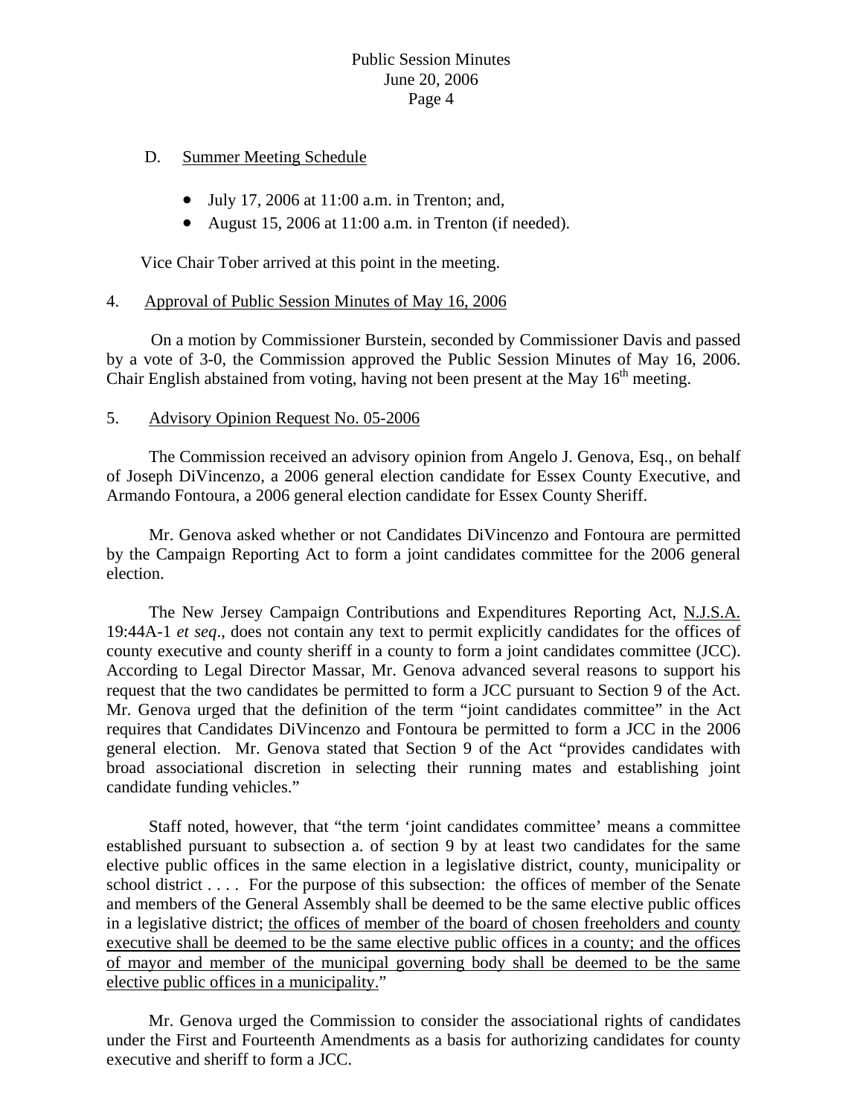# Public Session Minutes June 20, 2006 Page 4

### D. Summer Meeting Schedule

- July 17, 2006 at 11:00 a.m. in Trenton; and,
- August 15, 2006 at 11:00 a.m. in Trenton (if needed).

Vice Chair Tober arrived at this point in the meeting.

### 4. Approval of Public Session Minutes of May 16, 2006

 On a motion by Commissioner Burstein, seconded by Commissioner Davis and passed by a vote of 3-0, the Commission approved the Public Session Minutes of May 16, 2006. Chair English abstained from voting, having not been present at the May  $16<sup>th</sup>$  meeting.

#### 5. Advisory Opinion Request No. 05-2006

 The Commission received an advisory opinion from Angelo J. Genova, Esq., on behalf of Joseph DiVincenzo, a 2006 general election candidate for Essex County Executive, and Armando Fontoura, a 2006 general election candidate for Essex County Sheriff.

 Mr. Genova asked whether or not Candidates DiVincenzo and Fontoura are permitted by the Campaign Reporting Act to form a joint candidates committee for the 2006 general election.

 The New Jersey Campaign Contributions and Expenditures Reporting Act, N.J.S.A. 19:44A-1 *et seq*., does not contain any text to permit explicitly candidates for the offices of county executive and county sheriff in a county to form a joint candidates committee (JCC). According to Legal Director Massar, Mr. Genova advanced several reasons to support his request that the two candidates be permitted to form a JCC pursuant to Section 9 of the Act. Mr. Genova urged that the definition of the term "joint candidates committee" in the Act requires that Candidates DiVincenzo and Fontoura be permitted to form a JCC in the 2006 general election. Mr. Genova stated that Section 9 of the Act "provides candidates with broad associational discretion in selecting their running mates and establishing joint candidate funding vehicles."

 Staff noted, however, that "the term 'joint candidates committee' means a committee established pursuant to subsection a. of section 9 by at least two candidates for the same elective public offices in the same election in a legislative district, county, municipality or school district . . . . For the purpose of this subsection: the offices of member of the Senate and members of the General Assembly shall be deemed to be the same elective public offices in a legislative district; the offices of member of the board of chosen freeholders and county executive shall be deemed to be the same elective public offices in a county; and the offices of mayor and member of the municipal governing body shall be deemed to be the same elective public offices in a municipality."

 Mr. Genova urged the Commission to consider the associational rights of candidates under the First and Fourteenth Amendments as a basis for authorizing candidates for county executive and sheriff to form a JCC.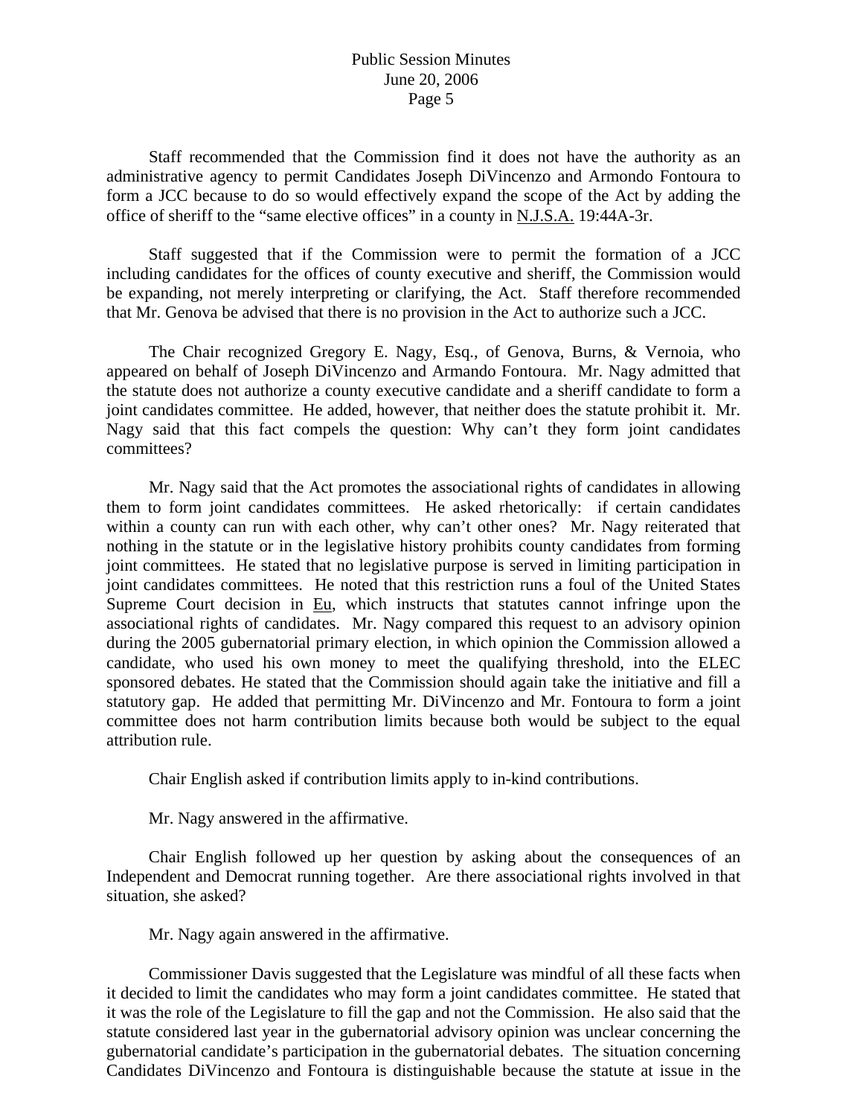## Public Session Minutes June 20, 2006 Page 5

 Staff recommended that the Commission find it does not have the authority as an administrative agency to permit Candidates Joseph DiVincenzo and Armondo Fontoura to form a JCC because to do so would effectively expand the scope of the Act by adding the office of sheriff to the "same elective offices" in a county in N.J.S.A. 19:44A-3r.

 Staff suggested that if the Commission were to permit the formation of a JCC including candidates for the offices of county executive and sheriff, the Commission would be expanding, not merely interpreting or clarifying, the Act. Staff therefore recommended that Mr. Genova be advised that there is no provision in the Act to authorize such a JCC.

 The Chair recognized Gregory E. Nagy, Esq., of Genova, Burns, & Vernoia, who appeared on behalf of Joseph DiVincenzo and Armando Fontoura. Mr. Nagy admitted that the statute does not authorize a county executive candidate and a sheriff candidate to form a joint candidates committee. He added, however, that neither does the statute prohibit it. Mr. Nagy said that this fact compels the question: Why can't they form joint candidates committees?

 Mr. Nagy said that the Act promotes the associational rights of candidates in allowing them to form joint candidates committees. He asked rhetorically: if certain candidates within a county can run with each other, why can't other ones? Mr. Nagy reiterated that nothing in the statute or in the legislative history prohibits county candidates from forming joint committees. He stated that no legislative purpose is served in limiting participation in joint candidates committees. He noted that this restriction runs a foul of the United States Supreme Court decision in  $Eu$ , which instructs that statutes cannot infringe upon the associational rights of candidates. Mr. Nagy compared this request to an advisory opinion during the 2005 gubernatorial primary election, in which opinion the Commission allowed a candidate, who used his own money to meet the qualifying threshold, into the ELEC sponsored debates. He stated that the Commission should again take the initiative and fill a statutory gap. He added that permitting Mr. DiVincenzo and Mr. Fontoura to form a joint committee does not harm contribution limits because both would be subject to the equal attribution rule.

Chair English asked if contribution limits apply to in-kind contributions.

Mr. Nagy answered in the affirmative.

 Chair English followed up her question by asking about the consequences of an Independent and Democrat running together. Are there associational rights involved in that situation, she asked?

Mr. Nagy again answered in the affirmative.

 Commissioner Davis suggested that the Legislature was mindful of all these facts when it decided to limit the candidates who may form a joint candidates committee. He stated that it was the role of the Legislature to fill the gap and not the Commission. He also said that the statute considered last year in the gubernatorial advisory opinion was unclear concerning the gubernatorial candidate's participation in the gubernatorial debates. The situation concerning Candidates DiVincenzo and Fontoura is distinguishable because the statute at issue in the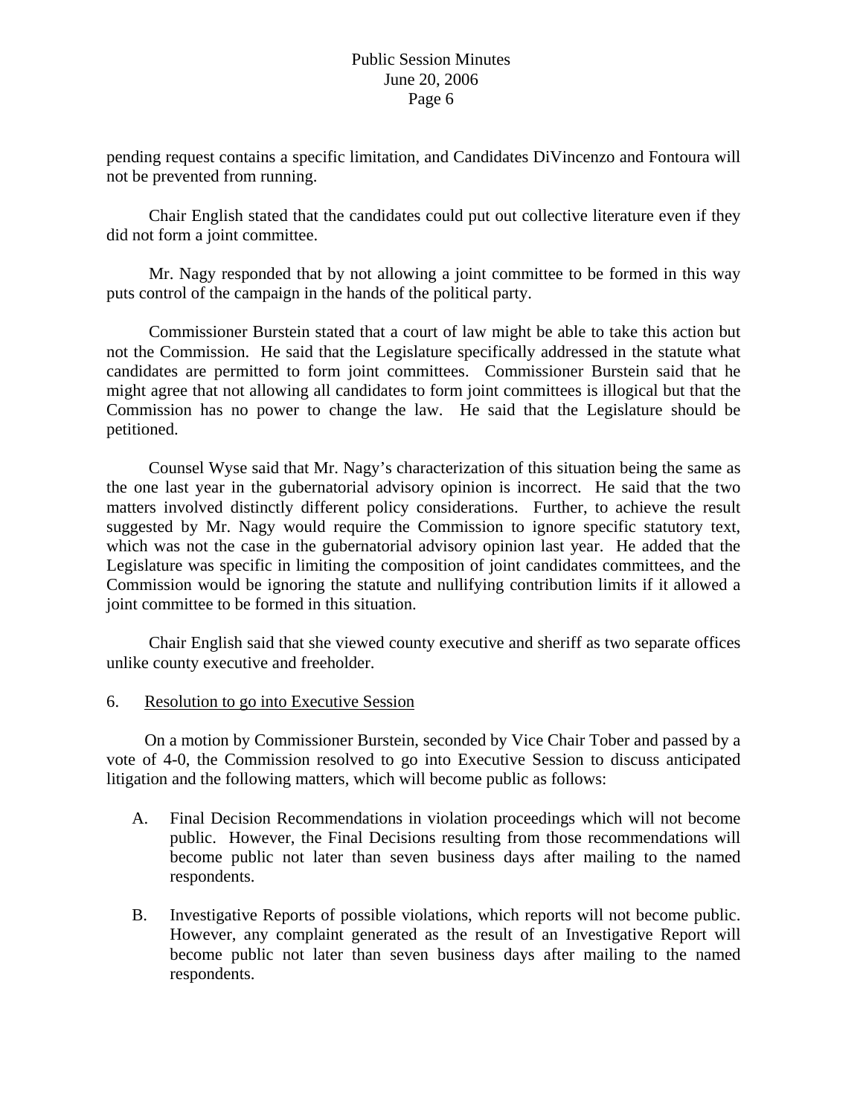pending request contains a specific limitation, and Candidates DiVincenzo and Fontoura will not be prevented from running.

 Chair English stated that the candidates could put out collective literature even if they did not form a joint committee.

 Mr. Nagy responded that by not allowing a joint committee to be formed in this way puts control of the campaign in the hands of the political party.

 Commissioner Burstein stated that a court of law might be able to take this action but not the Commission. He said that the Legislature specifically addressed in the statute what candidates are permitted to form joint committees. Commissioner Burstein said that he might agree that not allowing all candidates to form joint committees is illogical but that the Commission has no power to change the law. He said that the Legislature should be petitioned.

 Counsel Wyse said that Mr. Nagy's characterization of this situation being the same as the one last year in the gubernatorial advisory opinion is incorrect. He said that the two matters involved distinctly different policy considerations. Further, to achieve the result suggested by Mr. Nagy would require the Commission to ignore specific statutory text, which was not the case in the gubernatorial advisory opinion last year. He added that the Legislature was specific in limiting the composition of joint candidates committees, and the Commission would be ignoring the statute and nullifying contribution limits if it allowed a joint committee to be formed in this situation.

 Chair English said that she viewed county executive and sheriff as two separate offices unlike county executive and freeholder.

## 6. Resolution to go into Executive Session

 On a motion by Commissioner Burstein, seconded by Vice Chair Tober and passed by a vote of 4-0, the Commission resolved to go into Executive Session to discuss anticipated litigation and the following matters, which will become public as follows:

- A. Final Decision Recommendations in violation proceedings which will not become public. However, the Final Decisions resulting from those recommendations will become public not later than seven business days after mailing to the named respondents.
- B. Investigative Reports of possible violations, which reports will not become public. However, any complaint generated as the result of an Investigative Report will become public not later than seven business days after mailing to the named respondents.